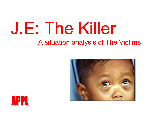# J.E: The KillerA situation analysis of The Victims



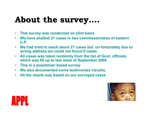#### About the survey...

- This survey was conducted on pilot basis
- We have studied 21 cases in two commissionaires of eastern •U.P.
- We had tried to reach about 27 cases but un fortunately due to wrong address we could not found 6 cases
- All cases was taken randomly from the list of Govt. officials which was 68 up to last week of September 2008
- $\bullet$ This is a questioner based survey
- We also documented some testimonies visually
- All the charts was based on our surveyed cases



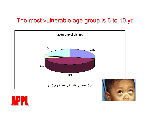#### The most vulnerable age group is 6 to 10 yr



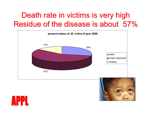#### Death rate in victims is very high Residue of the disease is about 57%





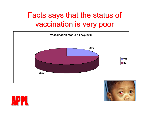#### Facts says that the status of vaccination is very poor



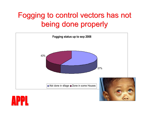### Fogging to control vectors has not being done properly



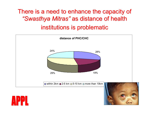#### There is a need to enhance the capacity of "Swasthya Mitras" as distance of health institutions is problematic



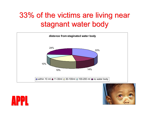### 33% of the victims are living near stagnant water body





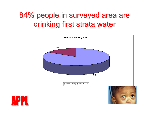### 84% people in surveyed area are drinking first strata water

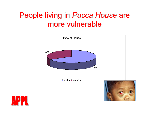#### People living in Pucca House are more vulnerable



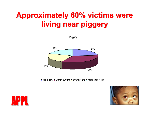## Approximately 60% victims were living near piggery





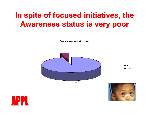### In spite of focused initiatives, the Awareness status is very poor